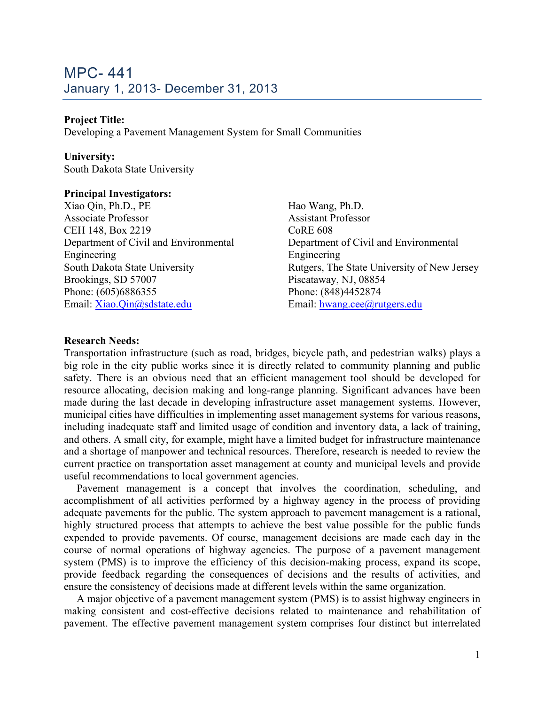#### **Project Title:**

Developing a Pavement Management System for Small Communities

#### **University:**

South Dakota State University

#### **Principal Investigators:**

Xiao Qin, Ph.D., PE Associate Professor CEH 148, Box 2219 Department of Civil and Environmental Engineering South Dakota State University Brookings, SD 57007 Phone: (605)6886355 Email: Xiao.Qin@sdstate.edu

Hao Wang, Ph.D. Assistant Professor CoRE 608 Department of Civil and Environmental Engineering Rutgers, The State University of New Jersey Piscataway, NJ, 08854 Phone: (848)4452874 Email: hwang.cee@rutgers.edu

#### **Research Needs:**

Transportation infrastructure (such as road, bridges, bicycle path, and pedestrian walks) plays a big role in the city public works since it is directly related to community planning and public safety. There is an obvious need that an efficient management tool should be developed for resource allocating, decision making and long-range planning. Significant advances have been made during the last decade in developing infrastructure asset management systems. However, municipal cities have difficulties in implementing asset management systems for various reasons, including inadequate staff and limited usage of condition and inventory data, a lack of training, and others. A small city, for example, might have a limited budget for infrastructure maintenance and a shortage of manpower and technical resources. Therefore, research is needed to review the current practice on transportation asset management at county and municipal levels and provide useful recommendations to local government agencies.

Pavement management is a concept that involves the coordination, scheduling, and accomplishment of all activities performed by a highway agency in the process of providing adequate pavements for the public. The system approach to pavement management is a rational, highly structured process that attempts to achieve the best value possible for the public funds expended to provide pavements. Of course, management decisions are made each day in the course of normal operations of highway agencies. The purpose of a pavement management system (PMS) is to improve the efficiency of this decision-making process, expand its scope, provide feedback regarding the consequences of decisions and the results of activities, and ensure the consistency of decisions made at different levels within the same organization.

A major objective of a pavement management system (PMS) is to assist highway engineers in making consistent and cost-effective decisions related to maintenance and rehabilitation of pavement. The effective pavement management system comprises four distinct but interrelated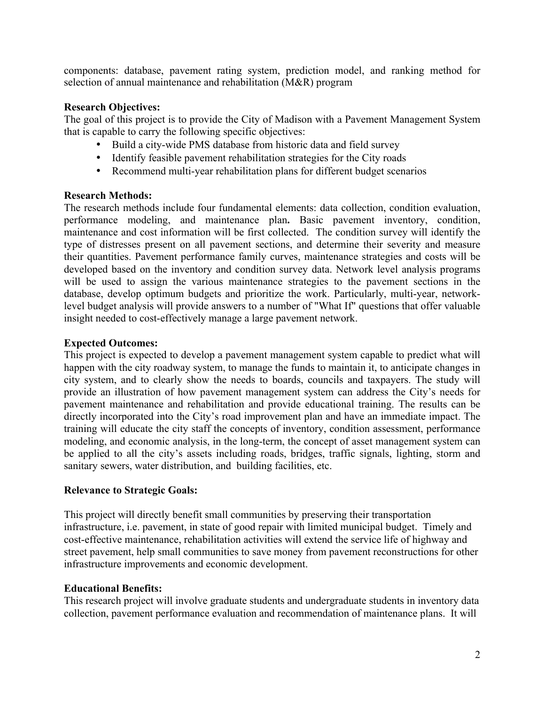components: database, pavement rating system, prediction model, and ranking method for selection of annual maintenance and rehabilitation (M&R) program

#### **Research Objectives:**

The goal of this project is to provide the City of Madison with a Pavement Management System that is capable to carry the following specific objectives:

- Build a city-wide PMS database from historic data and field survey
- Identify feasible pavement rehabilitation strategies for the City roads
- Recommend multi-year rehabilitation plans for different budget scenarios

#### **Research Methods:**

The research methods include four fundamental elements: data collection, condition evaluation, performance modeling, and maintenance plan**.** Basic pavement inventory, condition, maintenance and cost information will be first collected. The condition survey will identify the type of distresses present on all pavement sections, and determine their severity and measure their quantities. Pavement performance family curves, maintenance strategies and costs will be developed based on the inventory and condition survey data. Network level analysis programs will be used to assign the various maintenance strategies to the pavement sections in the database, develop optimum budgets and prioritize the work. Particularly, multi-year, networklevel budget analysis will provide answers to a number of "What If" questions that offer valuable insight needed to cost-effectively manage a large pavement network.

## **Expected Outcomes:**

This project is expected to develop a pavement management system capable to predict what will happen with the city roadway system, to manage the funds to maintain it, to anticipate changes in city system, and to clearly show the needs to boards, councils and taxpayers. The study will provide an illustration of how pavement management system can address the City's needs for pavement maintenance and rehabilitation and provide educational training. The results can be directly incorporated into the City's road improvement plan and have an immediate impact. The training will educate the city staff the concepts of inventory, condition assessment, performance modeling, and economic analysis, in the long-term, the concept of asset management system can be applied to all the city's assets including roads, bridges, traffic signals, lighting, storm and sanitary sewers, water distribution, and building facilities, etc.

#### **Relevance to Strategic Goals:**

This project will directly benefit small communities by preserving their transportation infrastructure, i.e. pavement, in state of good repair with limited municipal budget. Timely and cost-effective maintenance, rehabilitation activities will extend the service life of highway and street pavement, help small communities to save money from pavement reconstructions for other infrastructure improvements and economic development.

## **Educational Benefits:**

This research project will involve graduate students and undergraduate students in inventory data collection, pavement performance evaluation and recommendation of maintenance plans. It will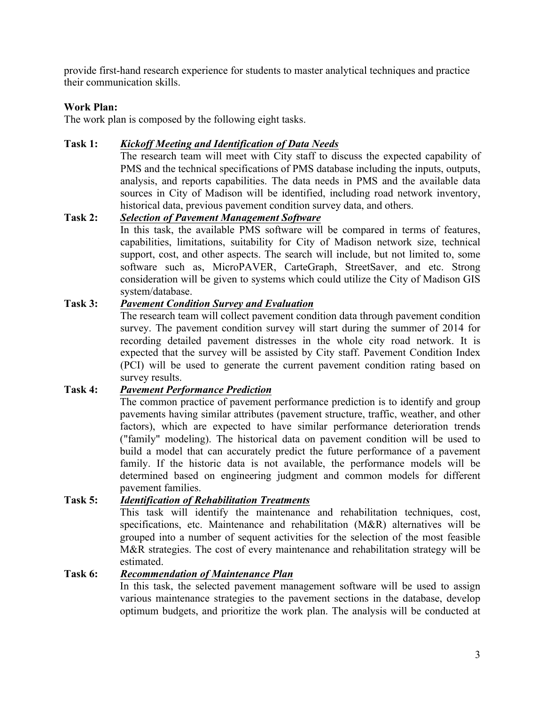provide first-hand research experience for students to master analytical techniques and practice their communication skills.

#### **Work Plan:**

The work plan is composed by the following eight tasks.

## **Task 1:** *Kickoff Meeting and Identification of Data Needs*

The research team will meet with City staff to discuss the expected capability of PMS and the technical specifications of PMS database including the inputs, outputs, analysis, and reports capabilities. The data needs in PMS and the available data sources in City of Madison will be identified, including road network inventory, historical data, previous pavement condition survey data, and others.

## **Task 2:** *Selection of Pavement Management Software*

In this task, the available PMS software will be compared in terms of features, capabilities, limitations, suitability for City of Madison network size, technical support, cost, and other aspects. The search will include, but not limited to, some software such as, MicroPAVER, CarteGraph, StreetSaver, and etc. Strong consideration will be given to systems which could utilize the City of Madison GIS system/database.

## **Task 3:** *Pavement Condition Survey and Evaluation*

The research team will collect pavement condition data through pavement condition survey. The pavement condition survey will start during the summer of 2014 for recording detailed pavement distresses in the whole city road network. It is expected that the survey will be assisted by City staff. Pavement Condition Index (PCI) will be used to generate the current pavement condition rating based on survey results.

## **Task 4:** *Pavement Performance Prediction*

The common practice of pavement performance prediction is to identify and group pavements having similar attributes (pavement structure, traffic, weather, and other factors), which are expected to have similar performance deterioration trends ("family" modeling). The historical data on pavement condition will be used to build a model that can accurately predict the future performance of a pavement family. If the historic data is not available, the performance models will be determined based on engineering judgment and common models for different pavement families.

# **Task 5:** *Identification of Rehabilitation Treatments*

This task will identify the maintenance and rehabilitation techniques, cost, specifications, etc. Maintenance and rehabilitation (M&R) alternatives will be grouped into a number of sequent activities for the selection of the most feasible M&R strategies. The cost of every maintenance and rehabilitation strategy will be estimated.

#### **Task 6:** *Recommendation of Maintenance Plan*

In this task, the selected pavement management software will be used to assign various maintenance strategies to the pavement sections in the database, develop optimum budgets, and prioritize the work plan. The analysis will be conducted at